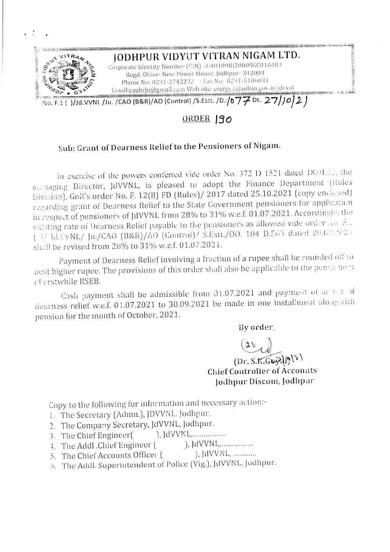

## ORDER 190

## Sub: Grant of Dearness Relief to the Pensioners of Nigam.

In exercise of the powers conferred vide order No. 372 D 1521 dated 18.01.12, the Managing Director, JdVVNL, is pleased to adopt the Finance Department (Rules Division), GoR's order No. F. 12(8) FD (Rules)/ 2017 dated 25.10.2021 (copy enclosed) regarding grant of Dearness Relief to the State Government pensioners for application in respect of pensioners of JdVVNL from 28% to 31% w.e.f. 01.07.2021. Accordingly, the existing rate of Dearness Relief payable to the pensioners as allowed vide order No. F.1 ( )/ Jd.VVNL/ Ju./CAO (B&R)/AO (Control)/ S.Estt./00. 104 D.563 dated 20.07.2021 shall be revised from 28% to 31% w.e.f. 01.07.2021.

Payment of Dearness Relief involving a fraction of a rupee shall be rounded off to next higher rupee. The provisions of this order shall also be applicable to the pensioners of erstwhile RSEB.

Cash payment shall be admissible from 01.07.2021 and payment of an ear of dearness relief w.e.f. 01.07.2021 to 30.09.2021 be made in one installment along with pension for the month of October, 2021.

By order,

 $(Dr. S.K.GovdN^{(\nu)})$ **Chief Controller of Accounts** Jodhpur Discom, Jodhpur

Copy to the following for information and necessary action:-

- 1. The Secretary (Admn.), JDVVNL. Jodhpur.
- 2. The Company Secretary, JdVVNL, Jodhpur.
- 3. The Chief Engineer(
- $\hat{J}$ , JdVVNL, ... ... ... ....... 4. The Addl .Chief Engineer (
- $),$  JdVVNL, ............ 5. The Chief Accounts Officer (
- 6. The Addl. Superintendent of Police (Vig.), JdVVNL, Jodhpur.